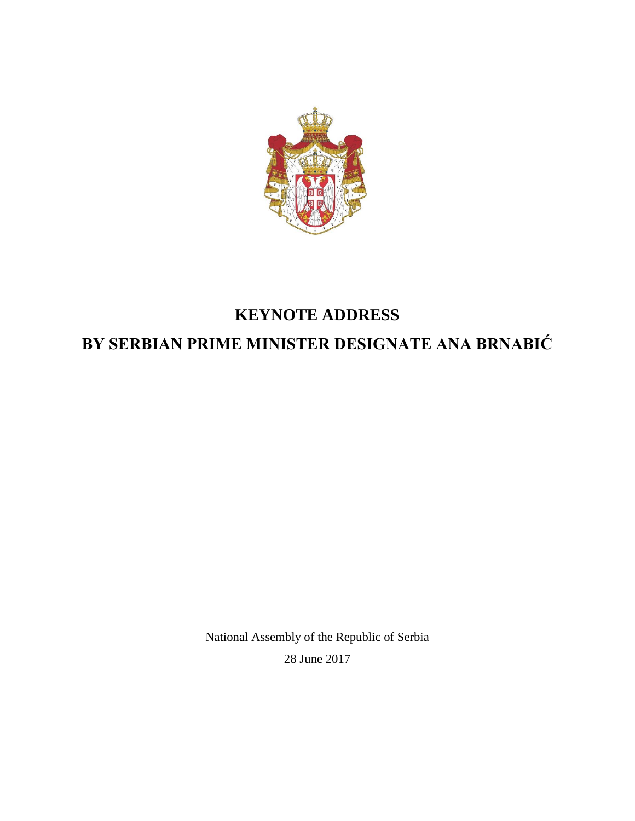

# **KEYNOTE ADDRESS**

# **BY SERBIAN PRIME MINISTER DESIGNATE ANA BRNABIĆ**

National Assembly of the Republic of Serbia 28 June 2017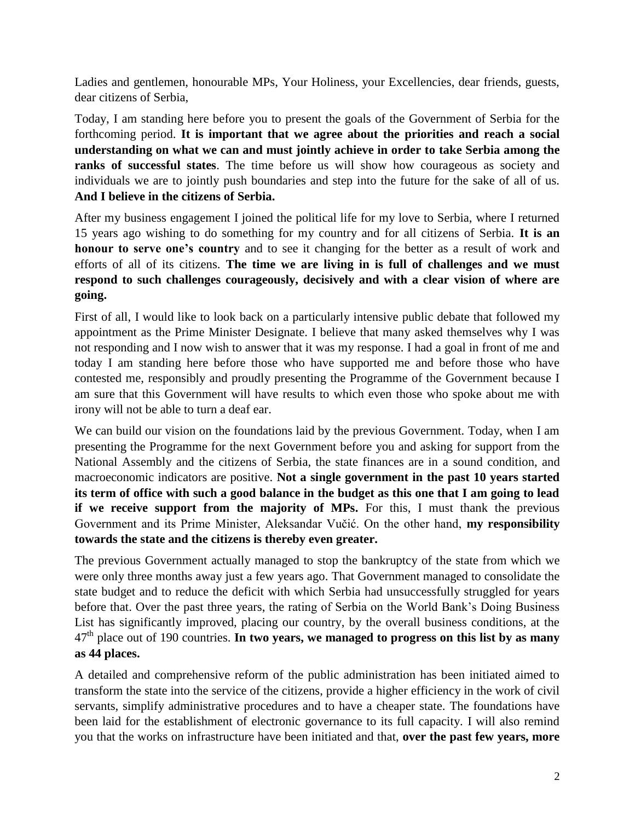Ladies and gentlemen, honourable MPs, Your Holiness, your Excellencies, dear friends, guests, dear citizens of Serbia,

Today, I am standing here before you to present the goals of the Government of Serbia for the forthcoming period. **It is important that we agree about the priorities and reach a social understanding on what we can and must jointly achieve in order to take Serbia among the ranks of successful states**. The time before us will show how courageous as society and individuals we are to jointly push boundaries and step into the future for the sake of all of us. **And I believe in the citizens of Serbia.**

After my business engagement I joined the political life for my love to Serbia, where I returned 15 years ago wishing to do something for my country and for all citizens of Serbia. **It is an honour to serve one's country** and to see it changing for the better as a result of work and efforts of all of its citizens. **The time we are living in is full of challenges and we must respond to such challenges courageously, decisively and with a clear vision of where are going.**

First of all, I would like to look back on a particularly intensive public debate that followed my appointment as the Prime Minister Designate. I believe that many asked themselves why I was not responding and I now wish to answer that it was my response. I had a goal in front of me and today I am standing here before those who have supported me and before those who have contested me, responsibly and proudly presenting the Programme of the Government because I am sure that this Government will have results to which even those who spoke about me with irony will not be able to turn a deaf ear.

We can build our vision on the foundations laid by the previous Government. Today, when I am presenting the Programme for the next Government before you and asking for support from the National Assembly and the citizens of Serbia, the state finances are in a sound condition, and macroeconomic indicators are positive. **Not a single government in the past 10 years started its term of office with such a good balance in the budget as this one that I am going to lead if we receive support from the majority of MPs.** For this, I must thank the previous Government and its Prime Minister, Aleksandar Vučić. On the other hand, **my responsibility towards the state and the citizens is thereby even greater.**

The previous Government actually managed to stop the bankruptcy of the state from which we were only three months away just a few years ago. That Government managed to consolidate the state budget and to reduce the deficit with which Serbia had unsuccessfully struggled for years before that. Over the past three years, the rating of Serbia on the World Bank's Doing Business List has significantly improved, placing our country, by the overall business conditions, at the 47th place out of 190 countries. **In two years, we managed to progress on this list by as many as 44 places.**

A detailed and comprehensive reform of the public administration has been initiated aimed to transform the state into the service of the citizens, provide a higher efficiency in the work of civil servants, simplify administrative procedures and to have a cheaper state. The foundations have been laid for the establishment of electronic governance to its full capacity. I will also remind you that the works on infrastructure have been initiated and that, **over the past few years, more**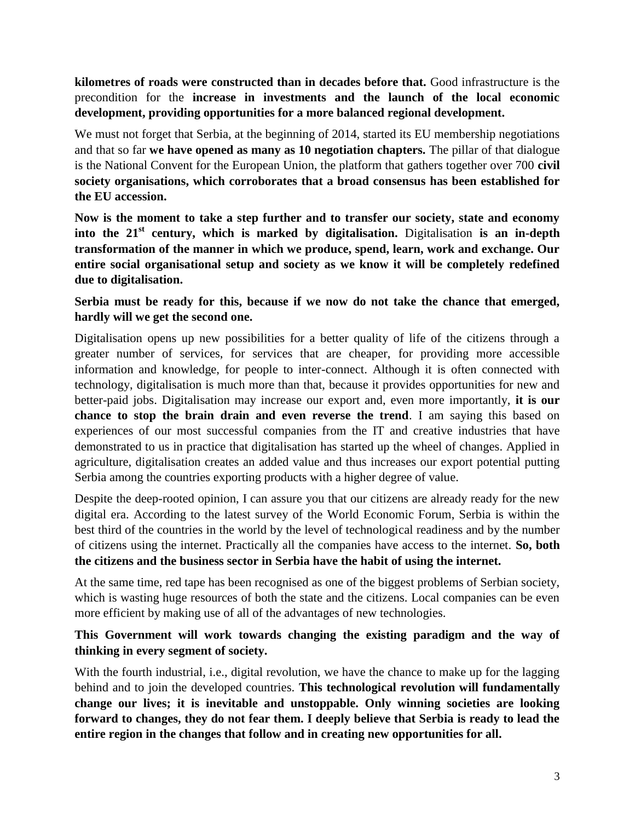### **kilometres of roads were constructed than in decades before that.** Good infrastructure is the precondition for the **increase in investments and the launch of the local economic development, providing opportunities for a more balanced regional development.**

We must not forget that Serbia, at the beginning of 2014, started its EU membership negotiations and that so far **we have opened as many as 10 negotiation chapters.** The pillar of that dialogue is the National Convent for the European Union, the platform that gathers together over 700 **civil society organisations, which corroborates that a broad consensus has been established for the EU accession.**

**Now is the moment to take a step further and to transfer our society, state and economy into the 21st century, which is marked by digitalisation.** Digitalisation **is an in-depth transformation of the manner in which we produce, spend, learn, work and exchange. Our entire social organisational setup and society as we know it will be completely redefined due to digitalisation.**

#### **Serbia must be ready for this, because if we now do not take the chance that emerged, hardly will we get the second one.**

Digitalisation opens up new possibilities for a better quality of life of the citizens through a greater number of services, for services that are cheaper, for providing more accessible information and knowledge, for people to inter-connect. Although it is often connected with technology, digitalisation is much more than that, because it provides opportunities for new and better-paid jobs. Digitalisation may increase our export and, even more importantly, **it is our chance to stop the brain drain and even reverse the trend**. I am saying this based on experiences of our most successful companies from the IT and creative industries that have demonstrated to us in practice that digitalisation has started up the wheel of changes. Applied in agriculture, digitalisation creates an added value and thus increases our export potential putting Serbia among the countries exporting products with a higher degree of value.

Despite the deep-rooted opinion, I can assure you that our citizens are already ready for the new digital era. According to the latest survey of the World Economic Forum, Serbia is within the best third of the countries in the world by the level of technological readiness and by the number of citizens using the internet. Practically all the companies have access to the internet. **So, both the citizens and the business sector in Serbia have the habit of using the internet.**

At the same time, red tape has been recognised as one of the biggest problems of Serbian society, which is wasting huge resources of both the state and the citizens. Local companies can be even more efficient by making use of all of the advantages of new technologies.

#### **This Government will work towards changing the existing paradigm and the way of thinking in every segment of society.**

With the fourth industrial, i.e., digital revolution, we have the chance to make up for the lagging behind and to join the developed countries. **This technological revolution will fundamentally change our lives; it is inevitable and unstoppable. Only winning societies are looking forward to changes, they do not fear them. I deeply believe that Serbia is ready to lead the entire region in the changes that follow and in creating new opportunities for all.**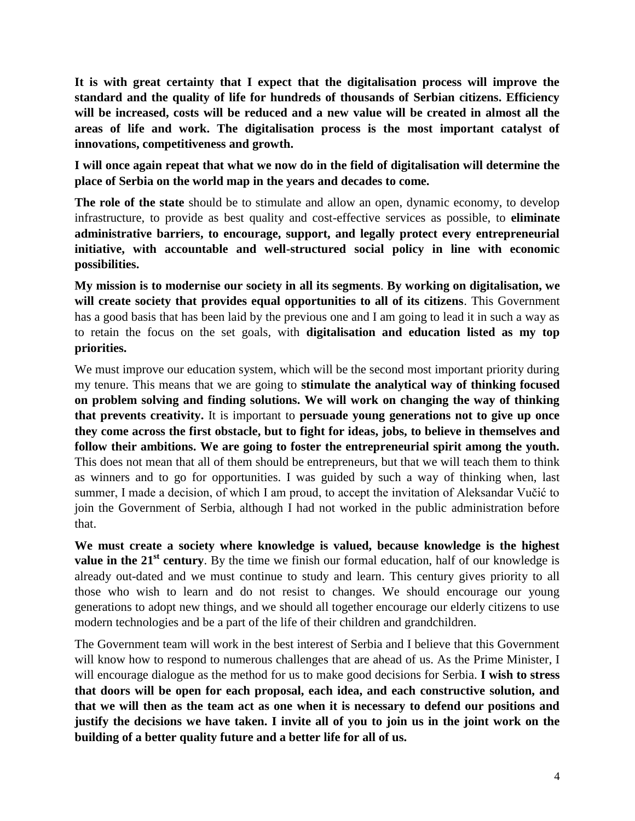**It is with great certainty that I expect that the digitalisation process will improve the standard and the quality of life for hundreds of thousands of Serbian citizens. Efficiency will be increased, costs will be reduced and a new value will be created in almost all the areas of life and work. The digitalisation process is the most important catalyst of innovations, competitiveness and growth.**

**I will once again repeat that what we now do in the field of digitalisation will determine the place of Serbia on the world map in the years and decades to come.**

**The role of the state** should be to stimulate and allow an open, dynamic economy, to develop infrastructure, to provide as best quality and cost-effective services as possible, to **eliminate administrative barriers, to encourage, support, and legally protect every entrepreneurial initiative, with accountable and well-structured social policy in line with economic possibilities.** 

**My mission is to modernise our society in all its segments**. **By working on digitalisation, we will create society that provides equal opportunities to all of its citizens**. This Government has a good basis that has been laid by the previous one and I am going to lead it in such a way as to retain the focus on the set goals, with **digitalisation and education listed as my top priorities.**

We must improve our education system, which will be the second most important priority during my tenure. This means that we are going to **stimulate the analytical way of thinking focused on problem solving and finding solutions. We will work on changing the way of thinking that prevents creativity.** It is important to **persuade young generations not to give up once they come across the first obstacle, but to fight for ideas, jobs, to believe in themselves and follow their ambitions. We are going to foster the entrepreneurial spirit among the youth.**  This does not mean that all of them should be entrepreneurs, but that we will teach them to think as winners and to go for opportunities. I was guided by such a way of thinking when, last summer, I made a decision, of which I am proud, to accept the invitation of Aleksandar Vučić to join the Government of Serbia, although I had not worked in the public administration before that.

**We must create a society where knowledge is valued, because knowledge is the highest value in the 21<sup>st</sup> century**. By the time we finish our formal education, half of our knowledge is already out-dated and we must continue to study and learn. This century gives priority to all those who wish to learn and do not resist to changes. We should encourage our young generations to adopt new things, and we should all together encourage our elderly citizens to use modern technologies and be a part of the life of their children and grandchildren.

The Government team will work in the best interest of Serbia and I believe that this Government will know how to respond to numerous challenges that are ahead of us. As the Prime Minister, I will encourage dialogue as the method for us to make good decisions for Serbia. **I wish to stress that doors will be open for each proposal, each idea, and each constructive solution, and that we will then as the team act as one when it is necessary to defend our positions and justify the decisions we have taken. I invite all of you to join us in the joint work on the building of a better quality future and a better life for all of us.**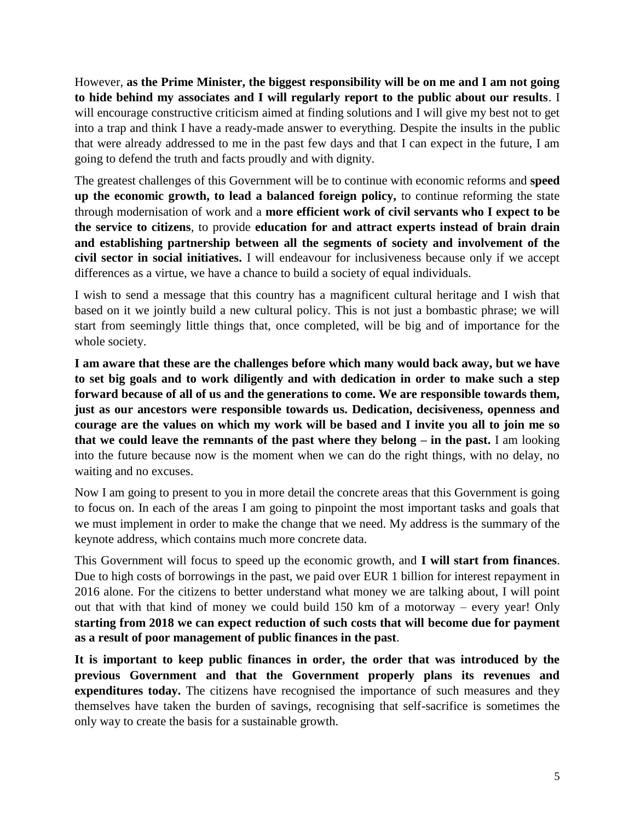However, **as the Prime Minister, the biggest responsibility will be on me and I am not going to hide behind my associates and I will regularly report to the public about our results**. I will encourage constructive criticism aimed at finding solutions and I will give my best not to get into a trap and think I have a ready-made answer to everything. Despite the insults in the public that were already addressed to me in the past few days and that I can expect in the future, I am going to defend the truth and facts proudly and with dignity.

The greatest challenges of this Government will be to continue with economic reforms and **speed up the economic growth, to lead a balanced foreign policy,** to continue reforming the state through modernisation of work and a **more efficient work of civil servants who I expect to be the service to citizens**, to provide **education for and attract experts instead of brain drain and establishing partnership between all the segments of society and involvement of the civil sector in social initiatives.** I will endeavour for inclusiveness because only if we accept differences as a virtue, we have a chance to build a society of equal individuals.

I wish to send a message that this country has a magnificent cultural heritage and I wish that based on it we jointly build a new cultural policy. This is not just a bombastic phrase; we will start from seemingly little things that, once completed, will be big and of importance for the whole society.

**I am aware that these are the challenges before which many would back away, but we have to set big goals and to work diligently and with dedication in order to make such a step forward because of all of us and the generations to come. We are responsible towards them, just as our ancestors were responsible towards us. Dedication, decisiveness, openness and courage are the values on which my work will be based and I invite you all to join me so that we could leave the remnants of the past where they belong – in the past.** I am looking into the future because now is the moment when we can do the right things, with no delay, no waiting and no excuses.

Now I am going to present to you in more detail the concrete areas that this Government is going to focus on. In each of the areas I am going to pinpoint the most important tasks and goals that we must implement in order to make the change that we need. My address is the summary of the keynote address, which contains much more concrete data.

This Government will focus to speed up the economic growth, and **I will start from finances**. Due to high costs of borrowings in the past, we paid over EUR 1 billion for interest repayment in 2016 alone. For the citizens to better understand what money we are talking about, I will point out that with that kind of money we could build 150 km of a motorway – every year! Only **starting from 2018 we can expect reduction of such costs that will become due for payment as a result of poor management of public finances in the past**.

**It is important to keep public finances in order, the order that was introduced by the previous Government and that the Government properly plans its revenues and expenditures today.** The citizens have recognised the importance of such measures and they themselves have taken the burden of savings, recognising that self-sacrifice is sometimes the only way to create the basis for a sustainable growth.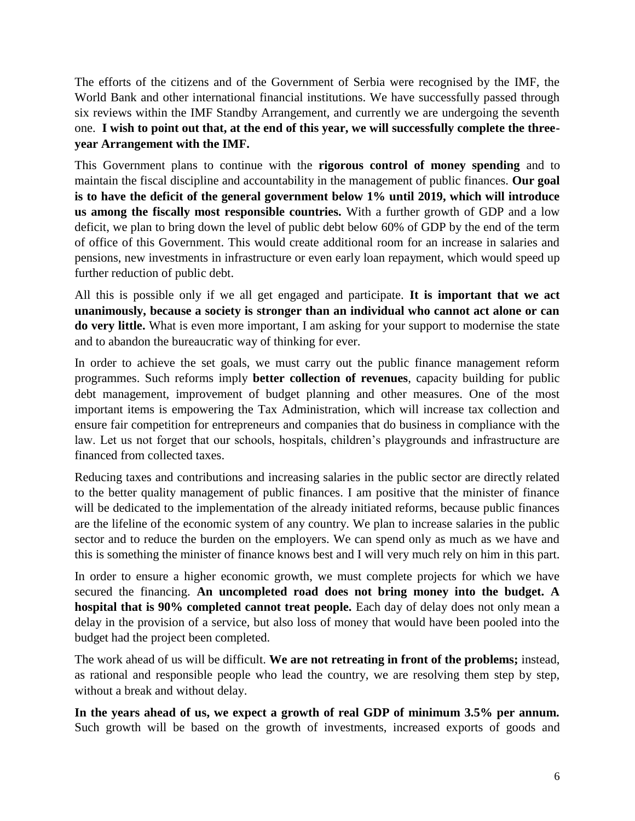The efforts of the citizens and of the Government of Serbia were recognised by the IMF, the World Bank and other international financial institutions. We have successfully passed through six reviews within the IMF Standby Arrangement, and currently we are undergoing the seventh one. **I wish to point out that, at the end of this year, we will successfully complete the threeyear Arrangement with the IMF.**

This Government plans to continue with the **rigorous control of money spending** and to maintain the fiscal discipline and accountability in the management of public finances. **Our goal is to have the deficit of the general government below 1% until 2019, which will introduce us among the fiscally most responsible countries.** With a further growth of GDP and a low deficit, we plan to bring down the level of public debt below 60% of GDP by the end of the term of office of this Government. This would create additional room for an increase in salaries and pensions, new investments in infrastructure or even early loan repayment, which would speed up further reduction of public debt.

All this is possible only if we all get engaged and participate. **It is important that we act unanimously, because a society is stronger than an individual who cannot act alone or can do very little.** What is even more important, I am asking for your support to modernise the state and to abandon the bureaucratic way of thinking for ever.

In order to achieve the set goals, we must carry out the public finance management reform programmes. Such reforms imply **better collection of revenues**, capacity building for public debt management, improvement of budget planning and other measures. One of the most important items is empowering the Tax Administration, which will increase tax collection and ensure fair competition for entrepreneurs and companies that do business in compliance with the law. Let us not forget that our schools, hospitals, children's playgrounds and infrastructure are financed from collected taxes.

Reducing taxes and contributions and increasing salaries in the public sector are directly related to the better quality management of public finances. I am positive that the minister of finance will be dedicated to the implementation of the already initiated reforms, because public finances are the lifeline of the economic system of any country. We plan to increase salaries in the public sector and to reduce the burden on the employers. We can spend only as much as we have and this is something the minister of finance knows best and I will very much rely on him in this part.

In order to ensure a higher economic growth, we must complete projects for which we have secured the financing. **An uncompleted road does not bring money into the budget. A hospital that is 90% completed cannot treat people.** Each day of delay does not only mean a delay in the provision of a service, but also loss of money that would have been pooled into the budget had the project been completed.

The work ahead of us will be difficult. **We are not retreating in front of the problems;** instead, as rational and responsible people who lead the country, we are resolving them step by step, without a break and without delay.

**In the years ahead of us, we expect a growth of real GDP of minimum 3.5% per annum.** Such growth will be based on the growth of investments, increased exports of goods and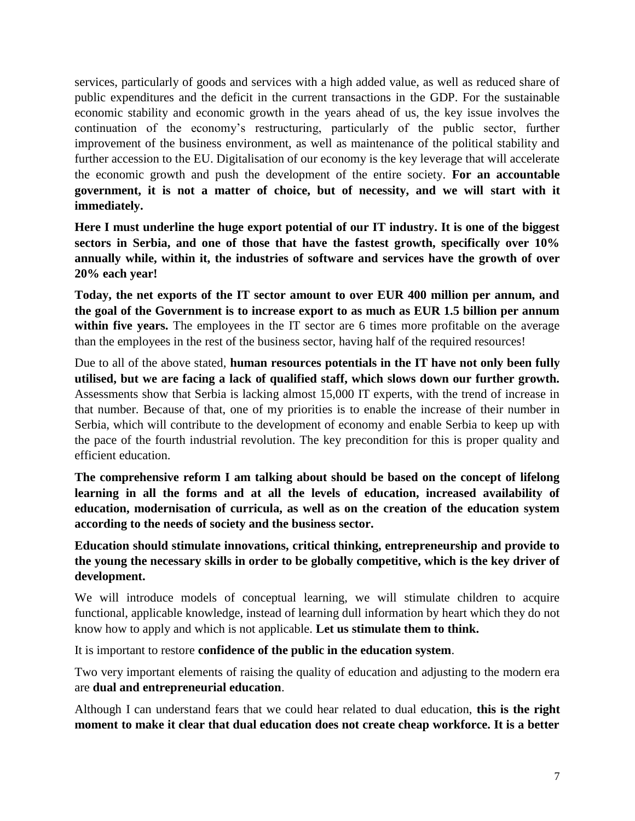services, particularly of goods and services with a high added value, as well as reduced share of public expenditures and the deficit in the current transactions in the GDP. For the sustainable economic stability and economic growth in the years ahead of us, the key issue involves the continuation of the economy's restructuring, particularly of the public sector, further improvement of the business environment, as well as maintenance of the political stability and further accession to the EU. Digitalisation of our economy is the key leverage that will accelerate the economic growth and push the development of the entire society. **For an accountable government, it is not a matter of choice, but of necessity, and we will start with it immediately.**

**Here I must underline the huge export potential of our IT industry. It is one of the biggest sectors in Serbia, and one of those that have the fastest growth, specifically over 10% annually while, within it, the industries of software and services have the growth of over 20% each year!**

**Today, the net exports of the IT sector amount to over EUR 400 million per annum, and the goal of the Government is to increase export to as much as EUR 1.5 billion per annum within five years.** The employees in the IT sector are 6 times more profitable on the average than the employees in the rest of the business sector, having half of the required resources!

Due to all of the above stated, **human resources potentials in the IT have not only been fully utilised, but we are facing a lack of qualified staff, which slows down our further growth.**  Assessments show that Serbia is lacking almost 15,000 IT experts, with the trend of increase in that number. Because of that, one of my priorities is to enable the increase of their number in Serbia, which will contribute to the development of economy and enable Serbia to keep up with the pace of the fourth industrial revolution. The key precondition for this is proper quality and efficient education.

**The comprehensive reform I am talking about should be based on the concept of lifelong learning in all the forms and at all the levels of education, increased availability of education, modernisation of curricula, as well as on the creation of the education system according to the needs of society and the business sector.**

**Education should stimulate innovations, critical thinking, entrepreneurship and provide to the young the necessary skills in order to be globally competitive, which is the key driver of development.**

We will introduce models of conceptual learning, we will stimulate children to acquire functional, applicable knowledge, instead of learning dull information by heart which they do not know how to apply and which is not applicable. **Let us stimulate them to think.**

It is important to restore **confidence of the public in the education system**.

Two very important elements of raising the quality of education and adjusting to the modern era are **dual and entrepreneurial education**.

Although I can understand fears that we could hear related to dual education, **this is the right moment to make it clear that dual education does not create cheap workforce. It is a better**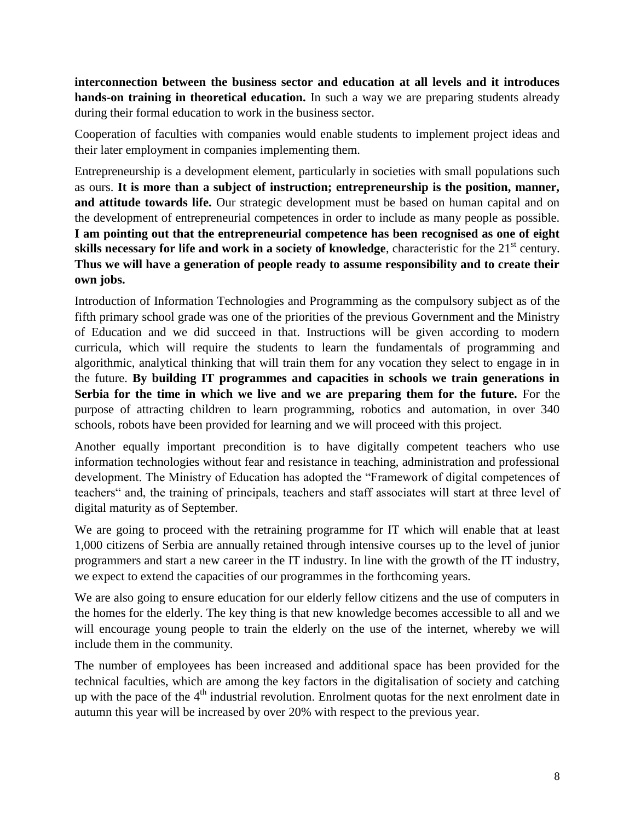**interconnection between the business sector and education at all levels and it introduces hands-on training in theoretical education.** In such a way we are preparing students already during their formal education to work in the business sector.

Cooperation of faculties with companies would enable students to implement project ideas and their later employment in companies implementing them.

Entrepreneurship is a development element, particularly in societies with small populations such as ours. **It is more than a subject of instruction; entrepreneurship is the position, manner, and attitude towards life.** Our strategic development must be based on human capital and on the development of entrepreneurial competences in order to include as many people as possible. **I am pointing out that the entrepreneurial competence has been recognised as one of eight skills necessary for life and work in a society of knowledge**, characteristic for the 21<sup>st</sup> century. **Thus we will have a generation of people ready to assume responsibility and to create their own jobs.**

Introduction of Information Technologies and Programming as the compulsory subject as of the fifth primary school grade was one of the priorities of the previous Government and the Ministry of Education and we did succeed in that. Instructions will be given according to modern curricula, which will require the students to learn the fundamentals of programming and algorithmic, analytical thinking that will train them for any vocation they select to engage in in the future. **By building IT programmes and capacities in schools we train generations in Serbia for the time in which we live and we are preparing them for the future.** For the purpose of attracting children to learn programming, robotics and automation, in over 340 schools, robots have been provided for learning and we will proceed with this project.

Another equally important precondition is to have digitally competent teachers who use information technologies without fear and resistance in teaching, administration and professional development. The Ministry of Education has adopted the "Framework of digital competences of teachers" and, the training of principals, teachers and staff associates will start at three level of digital maturity as of September.

We are going to proceed with the retraining programme for IT which will enable that at least 1,000 citizens of Serbia are annually retained through intensive courses up to the level of junior programmers and start a new career in the IT industry. In line with the growth of the IT industry, we expect to extend the capacities of our programmes in the forthcoming years.

We are also going to ensure education for our elderly fellow citizens and the use of computers in the homes for the elderly. The key thing is that new knowledge becomes accessible to all and we will encourage young people to train the elderly on the use of the internet, whereby we will include them in the community.

The number of employees has been increased and additional space has been provided for the technical faculties, which are among the key factors in the digitalisation of society and catching up with the pace of the  $4<sup>th</sup>$  industrial revolution. Enrolment quotas for the next enrolment date in autumn this year will be increased by over 20% with respect to the previous year.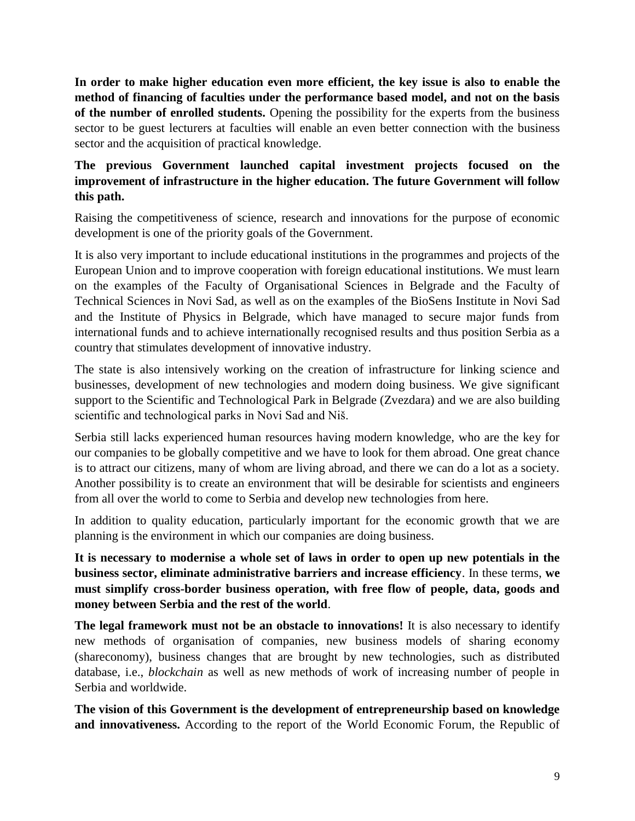**In order to make higher education even more efficient, the key issue is also to enable the method of financing of faculties under the performance based model, and not on the basis of the number of enrolled students.** Opening the possibility for the experts from the business sector to be guest lecturers at faculties will enable an even better connection with the business sector and the acquisition of practical knowledge.

## **The previous Government launched capital investment projects focused on the improvement of infrastructure in the higher education. The future Government will follow this path.**

Raising the competitiveness of science, research and innovations for the purpose of economic development is one of the priority goals of the Government.

It is also very important to include educational institutions in the programmes and projects of the European Union and to improve cooperation with foreign educational institutions. We must learn on the examples of the Faculty of Organisational Sciences in Belgrade and the Faculty of Technical Sciences in Novi Sad, as well as on the examples of the BioSens Institute in Novi Sad and the Institute of Physics in Belgrade, which have managed to secure major funds from international funds and to achieve internationally recognised results and thus position Serbia as a country that stimulates development of innovative industry.

The state is also intensively working on the creation of infrastructure for linking science and businesses, development of new technologies and modern doing business. We give significant support to the Scientific and Technological Park in Belgrade (Zvezdara) and we are also building scientific and technological parks in Novi Sad and Niš.

Serbia still lacks experienced human resources having modern knowledge, who are the key for our companies to be globally competitive and we have to look for them abroad. One great chance is to attract our citizens, many of whom are living abroad, and there we can do a lot as a society. Another possibility is to create an environment that will be desirable for scientists and engineers from all over the world to come to Serbia and develop new technologies from here.

In addition to quality education, particularly important for the economic growth that we are planning is the environment in which our companies are doing business.

**It is necessary to modernise a whole set of laws in order to open up new potentials in the business sector, eliminate administrative barriers and increase efficiency**. In these terms, **we must simplify cross-border business operation, with free flow of people, data, goods and money between Serbia and the rest of the world**.

**The legal framework must not be an obstacle to innovations!** It is also necessary to identify new methods of organisation of companies, new business models of sharing economy (shareconomy), business changes that are brought by new technologies, such as distributed database, i.e., *blockchain* as well as new methods of work of increasing number of people in Serbia and worldwide.

**The vision of this Government is the development of entrepreneurship based on knowledge and innovativeness.** According to the report of the World Economic Forum, the Republic of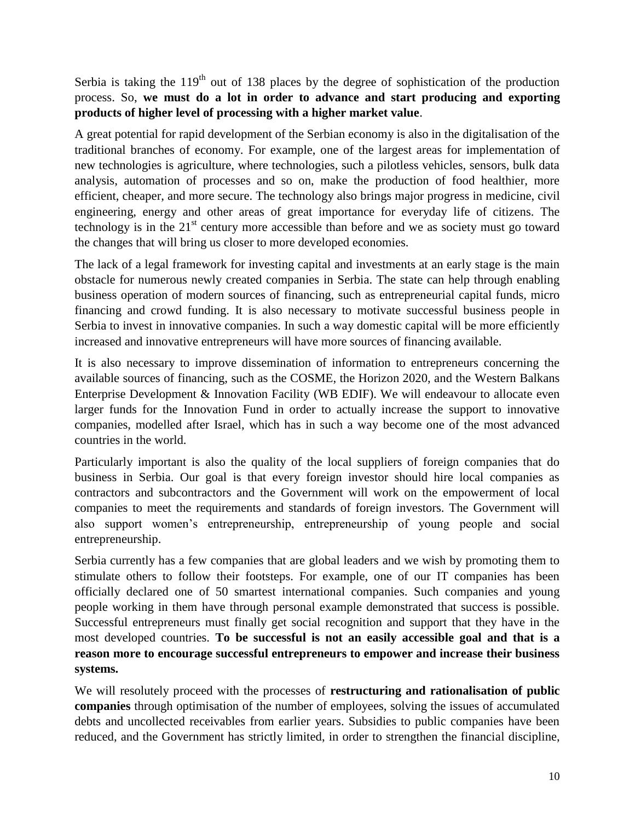Serbia is taking the  $119<sup>th</sup>$  out of 138 places by the degree of sophistication of the production process. So, **we must do a lot in order to advance and start producing and exporting products of higher level of processing with a higher market value**.

A great potential for rapid development of the Serbian economy is also in the digitalisation of the traditional branches of economy. For example, one of the largest areas for implementation of new technologies is agriculture, where technologies, such a pilotless vehicles, sensors, bulk data analysis, automation of processes and so on, make the production of food healthier, more efficient, cheaper, and more secure. The technology also brings major progress in medicine, civil engineering, energy and other areas of great importance for everyday life of citizens. The technology is in the  $21^{st}$  century more accessible than before and we as society must go toward the changes that will bring us closer to more developed economies.

The lack of a legal framework for investing capital and investments at an early stage is the main obstacle for numerous newly created companies in Serbia. The state can help through enabling business operation of modern sources of financing, such as entrepreneurial capital funds, micro financing and crowd funding. It is also necessary to motivate successful business people in Serbia to invest in innovative companies. In such a way domestic capital will be more efficiently increased and innovative entrepreneurs will have more sources of financing available.

It is also necessary to improve dissemination of information to entrepreneurs concerning the available sources of financing, such as the COSME, the Horizon 2020, and the Western Balkans Enterprise Development & Innovation Facility (WB EDIF). We will endeavour to allocate even larger funds for the Innovation Fund in order to actually increase the support to innovative companies, modelled after Israel, which has in such a way become one of the most advanced countries in the world.

Particularly important is also the quality of the local suppliers of foreign companies that do business in Serbia. Our goal is that every foreign investor should hire local companies as contractors and subcontractors and the Government will work on the empowerment of local companies to meet the requirements and standards of foreign investors. The Government will also support women's entrepreneurship, entrepreneurship of young people and social entrepreneurship.

Serbia currently has a few companies that are global leaders and we wish by promoting them to stimulate others to follow their footsteps. For example, one of our IT companies has been officially declared one of 50 smartest international companies. Such companies and young people working in them have through personal example demonstrated that success is possible. Successful entrepreneurs must finally get social recognition and support that they have in the most developed countries. **To be successful is not an easily accessible goal and that is a reason more to encourage successful entrepreneurs to empower and increase their business systems.**

We will resolutely proceed with the processes of **restructuring and rationalisation of public companies** through optimisation of the number of employees, solving the issues of accumulated debts and uncollected receivables from earlier years. Subsidies to public companies have been reduced, and the Government has strictly limited, in order to strengthen the financial discipline,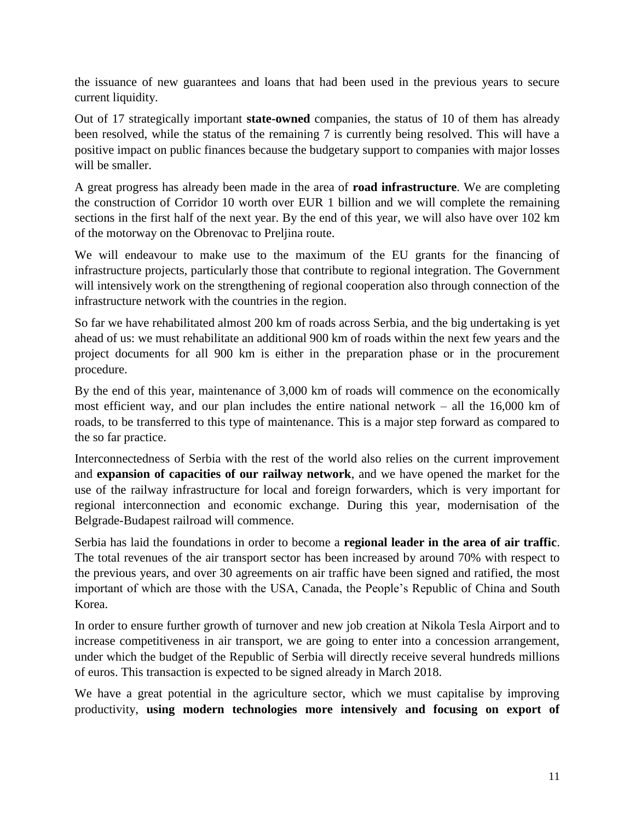the issuance of new guarantees and loans that had been used in the previous years to secure current liquidity.

Out of 17 strategically important **state-owned** companies, the status of 10 of them has already been resolved, while the status of the remaining 7 is currently being resolved. This will have a positive impact on public finances because the budgetary support to companies with major losses will be smaller.

A great progress has already been made in the area of **road infrastructure**. We are completing the construction of Corridor 10 worth over EUR 1 billion and we will complete the remaining sections in the first half of the next year. By the end of this year, we will also have over 102 km of the motorway on the Obrenovac to Preljina route.

We will endeavour to make use to the maximum of the EU grants for the financing of infrastructure projects, particularly those that contribute to regional integration. The Government will intensively work on the strengthening of regional cooperation also through connection of the infrastructure network with the countries in the region.

So far we have rehabilitated almost 200 km of roads across Serbia, and the big undertaking is yet ahead of us: we must rehabilitate an additional 900 km of roads within the next few years and the project documents for all 900 km is either in the preparation phase or in the procurement procedure.

By the end of this year, maintenance of 3,000 km of roads will commence on the economically most efficient way, and our plan includes the entire national network – all the 16,000 km of roads, to be transferred to this type of maintenance. This is a major step forward as compared to the so far practice.

Interconnectedness of Serbia with the rest of the world also relies on the current improvement and **expansion of capacities of our railway network**, and we have opened the market for the use of the railway infrastructure for local and foreign forwarders, which is very important for regional interconnection and economic exchange. During this year, modernisation of the Belgrade-Budapest railroad will commence.

Serbia has laid the foundations in order to become a **regional leader in the area of air traffic**. The total revenues of the air transport sector has been increased by around 70% with respect to the previous years, and over 30 agreements on air traffic have been signed and ratified, the most important of which are those with the USA, Canada, the People's Republic of China and South Korea.

In order to ensure further growth of turnover and new job creation at Nikola Tesla Airport and to increase competitiveness in air transport, we are going to enter into a concession arrangement, under which the budget of the Republic of Serbia will directly receive several hundreds millions of euros. This transaction is expected to be signed already in March 2018.

We have a great potential in the agriculture sector, which we must capitalise by improving productivity, **using modern technologies more intensively and focusing on export of**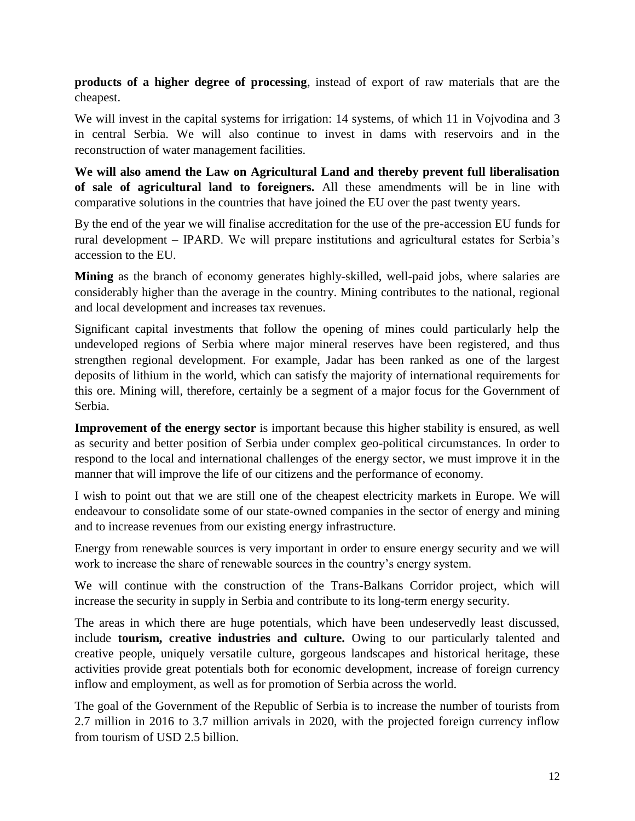**products of a higher degree of processing**, instead of export of raw materials that are the cheapest.

We will invest in the capital systems for irrigation: 14 systems, of which 11 in Vojvodina and 3 in central Serbia. We will also continue to invest in dams with reservoirs and in the reconstruction of water management facilities.

**We will also amend the Law on Agricultural Land and thereby prevent full liberalisation of sale of agricultural land to foreigners.** All these amendments will be in line with comparative solutions in the countries that have joined the EU over the past twenty years.

By the end of the year we will finalise accreditation for the use of the pre-accession EU funds for rural development – IPARD. We will prepare institutions and agricultural estates for Serbia's accession to the EU.

**Mining** as the branch of economy generates highly-skilled, well-paid jobs, where salaries are considerably higher than the average in the country. Mining contributes to the national, regional and local development and increases tax revenues.

Significant capital investments that follow the opening of mines could particularly help the undeveloped regions of Serbia where major mineral reserves have been registered, and thus strengthen regional development. For example, Jadar has been ranked as one of the largest deposits of lithium in the world, which can satisfy the majority of international requirements for this ore. Mining will, therefore, certainly be a segment of a major focus for the Government of Serbia.

**Improvement of the energy sector** is important because this higher stability is ensured, as well as security and better position of Serbia under complex geo-political circumstances. In order to respond to the local and international challenges of the energy sector, we must improve it in the manner that will improve the life of our citizens and the performance of economy.

I wish to point out that we are still one of the cheapest electricity markets in Europe. We will endeavour to consolidate some of our state-owned companies in the sector of energy and mining and to increase revenues from our existing energy infrastructure.

Energy from renewable sources is very important in order to ensure energy security and we will work to increase the share of renewable sources in the country's energy system.

We will continue with the construction of the Trans-Balkans Corridor project, which will increase the security in supply in Serbia and contribute to its long-term energy security.

The areas in which there are huge potentials, which have been undeservedly least discussed, include **tourism, creative industries and culture.** Owing to our particularly talented and creative people, uniquely versatile culture, gorgeous landscapes and historical heritage, these activities provide great potentials both for economic development, increase of foreign currency inflow and employment, as well as for promotion of Serbia across the world.

The goal of the Government of the Republic of Serbia is to increase the number of tourists from 2.7 million in 2016 to 3.7 million arrivals in 2020, with the projected foreign currency inflow from tourism of USD 2.5 billion.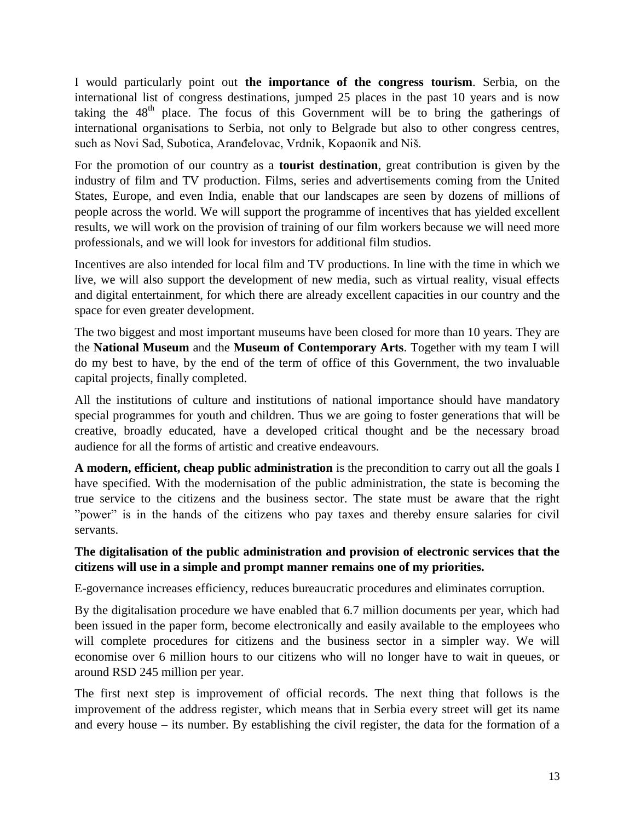I would particularly point out **the importance of the congress tourism**. Serbia, on the international list of congress destinations, jumped 25 places in the past 10 years and is now taking the  $48<sup>th</sup>$  place. The focus of this Government will be to bring the gatherings of international organisations to Serbia, not only to Belgrade but also to other congress centres, such as Novi Sad, Subotica, Aranđelovac, Vrdnik, Kopaonik and Niš.

For the promotion of our country as a **tourist destination**, great contribution is given by the industry of film and TV production. Films, series and advertisements coming from the United States, Europe, and even India, enable that our landscapes are seen by dozens of millions of people across the world. We will support the programme of incentives that has yielded excellent results, we will work on the provision of training of our film workers because we will need more professionals, and we will look for investors for additional film studios.

Incentives are also intended for local film and TV productions. In line with the time in which we live, we will also support the development of new media, such as virtual reality, visual effects and digital entertainment, for which there are already excellent capacities in our country and the space for even greater development.

The two biggest and most important museums have been closed for more than 10 years. They are the **National Museum** and the **Museum of Contemporary Arts**. Together with my team I will do my best to have, by the end of the term of office of this Government, the two invaluable capital projects, finally completed.

All the institutions of culture and institutions of national importance should have mandatory special programmes for youth and children. Thus we are going to foster generations that will be creative, broadly educated, have a developed critical thought and be the necessary broad audience for all the forms of artistic and creative endeavours.

**A modern, efficient, cheap public administration** is the precondition to carry out all the goals I have specified. With the modernisation of the public administration, the state is becoming the true service to the citizens and the business sector. The state must be aware that the right "power" is in the hands of the citizens who pay taxes and thereby ensure salaries for civil servants.

#### **The digitalisation of the public administration and provision of electronic services that the citizens will use in a simple and prompt manner remains one of my priorities.**

E-governance increases efficiency, reduces bureaucratic procedures and eliminates corruption.

By the digitalisation procedure we have enabled that 6.7 million documents per year, which had been issued in the paper form, become electronically and easily available to the employees who will complete procedures for citizens and the business sector in a simpler way. We will economise over 6 million hours to our citizens who will no longer have to wait in queues, or around RSD 245 million per year.

The first next step is improvement of official records. The next thing that follows is the improvement of the address register, which means that in Serbia every street will get its name and every house – its number. By establishing the civil register, the data for the formation of a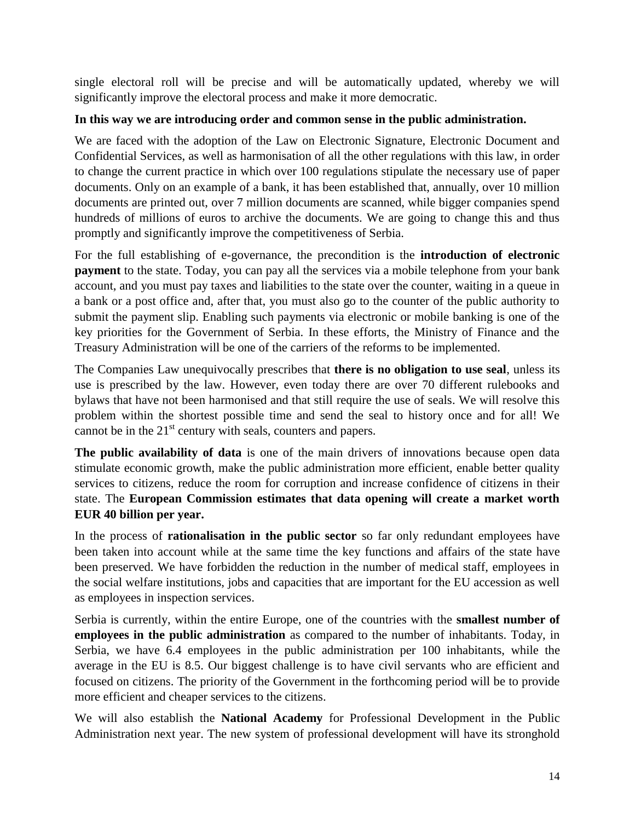single electoral roll will be precise and will be automatically updated, whereby we will significantly improve the electoral process and make it more democratic.

#### **In this way we are introducing order and common sense in the public administration.**

We are faced with the adoption of the Law on Electronic Signature, Electronic Document and Confidential Services, as well as harmonisation of all the other regulations with this law, in order to change the current practice in which over 100 regulations stipulate the necessary use of paper documents. Only on an example of a bank, it has been established that, annually, over 10 million documents are printed out, over 7 million documents are scanned, while bigger companies spend hundreds of millions of euros to archive the documents. We are going to change this and thus promptly and significantly improve the competitiveness of Serbia.

For the full establishing of e-governance, the precondition is the **introduction of electronic payment** to the state. Today, you can pay all the services via a mobile telephone from your bank account, and you must pay taxes and liabilities to the state over the counter, waiting in a queue in a bank or a post office and, after that, you must also go to the counter of the public authority to submit the payment slip. Enabling such payments via electronic or mobile banking is one of the key priorities for the Government of Serbia. In these efforts, the Ministry of Finance and the Treasury Administration will be one of the carriers of the reforms to be implemented.

The Companies Law unequivocally prescribes that **there is no obligation to use seal**, unless its use is prescribed by the law. However, even today there are over 70 different rulebooks and bylaws that have not been harmonised and that still require the use of seals. We will resolve this problem within the shortest possible time and send the seal to history once and for all! We cannot be in the  $21<sup>st</sup>$  century with seals, counters and papers.

**The public availability of data** is one of the main drivers of innovations because open data stimulate economic growth, make the public administration more efficient, enable better quality services to citizens, reduce the room for corruption and increase confidence of citizens in their state. The **European Commission estimates that data opening will create a market worth EUR 40 billion per year.**

In the process of **rationalisation in the public sector** so far only redundant employees have been taken into account while at the same time the key functions and affairs of the state have been preserved. We have forbidden the reduction in the number of medical staff, employees in the social welfare institutions, jobs and capacities that are important for the EU accession as well as employees in inspection services.

Serbia is currently, within the entire Europe, one of the countries with the **smallest number of employees in the public administration** as compared to the number of inhabitants. Today, in Serbia, we have 6.4 employees in the public administration per 100 inhabitants, while the average in the EU is 8.5. Our biggest challenge is to have civil servants who are efficient and focused on citizens. The priority of the Government in the forthcoming period will be to provide more efficient and cheaper services to the citizens.

We will also establish the **National Academy** for Professional Development in the Public Administration next year. The new system of professional development will have its stronghold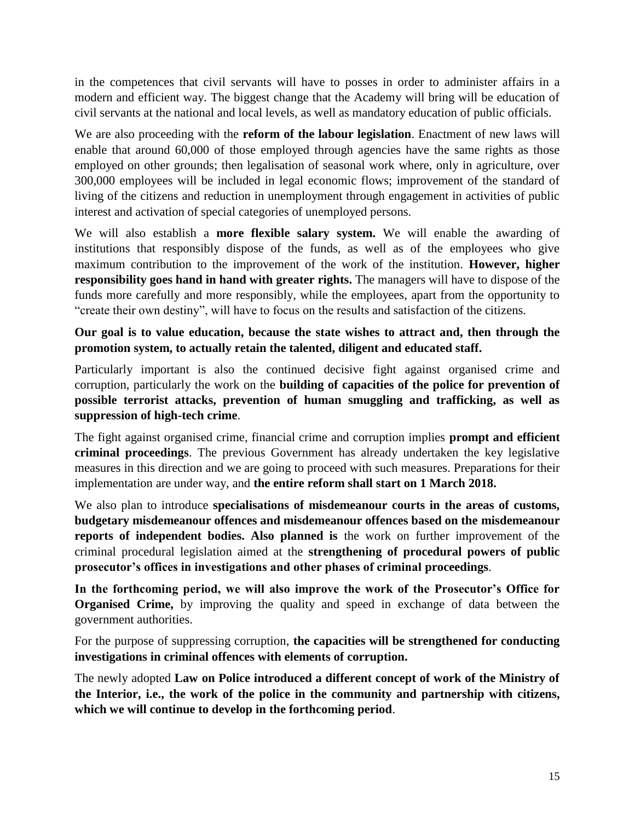in the competences that civil servants will have to posses in order to administer affairs in a modern and efficient way. The biggest change that the Academy will bring will be education of civil servants at the national and local levels, as well as mandatory education of public officials.

We are also proceeding with the **reform of the labour legislation**. Enactment of new laws will enable that around 60,000 of those employed through agencies have the same rights as those employed on other grounds; then legalisation of seasonal work where, only in agriculture, over 300,000 employees will be included in legal economic flows; improvement of the standard of living of the citizens and reduction in unemployment through engagement in activities of public interest and activation of special categories of unemployed persons.

We will also establish a **more flexible salary system.** We will enable the awarding of institutions that responsibly dispose of the funds, as well as of the employees who give maximum contribution to the improvement of the work of the institution. **However, higher responsibility goes hand in hand with greater rights.** The managers will have to dispose of the funds more carefully and more responsibly, while the employees, apart from the opportunity to "create their own destiny", will have to focus on the results and satisfaction of the citizens.

**Our goal is to value education, because the state wishes to attract and, then through the promotion system, to actually retain the talented, diligent and educated staff.**

Particularly important is also the continued decisive fight against organised crime and corruption, particularly the work on the **building of capacities of the police for prevention of possible terrorist attacks, prevention of human smuggling and trafficking, as well as suppression of high-tech crime**.

The fight against organised crime, financial crime and corruption implies **prompt and efficient criminal proceedings**. The previous Government has already undertaken the key legislative measures in this direction and we are going to proceed with such measures. Preparations for their implementation are under way, and **the entire reform shall start on 1 March 2018.** 

We also plan to introduce **specialisations of misdemeanour courts in the areas of customs, budgetary misdemeanour offences and misdemeanour offences based on the misdemeanour reports of independent bodies. Also planned is** the work on further improvement of the criminal procedural legislation aimed at the **strengthening of procedural powers of public prosecutor's offices in investigations and other phases of criminal proceedings**.

**In the forthcoming period, we will also improve the work of the Prosecutor's Office for Organised Crime,** by improving the quality and speed in exchange of data between the government authorities.

For the purpose of suppressing corruption, **the capacities will be strengthened for conducting investigations in criminal offences with elements of corruption.**

The newly adopted **Law on Police introduced a different concept of work of the Ministry of the Interior, i.e., the work of the police in the community and partnership with citizens, which we will continue to develop in the forthcoming period**.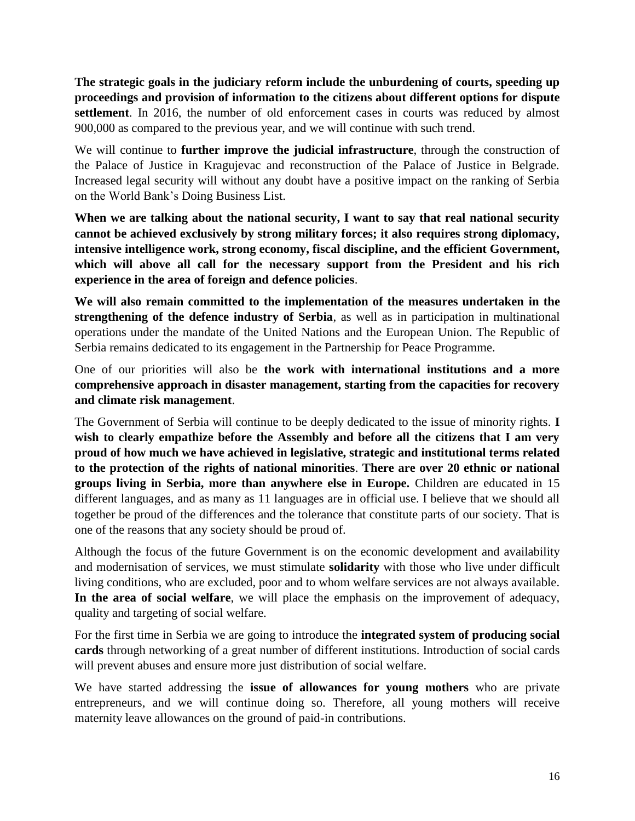**The strategic goals in the judiciary reform include the unburdening of courts, speeding up proceedings and provision of information to the citizens about different options for dispute settlement**. In 2016, the number of old enforcement cases in courts was reduced by almost 900,000 as compared to the previous year, and we will continue with such trend.

We will continue to **further improve the judicial infrastructure**, through the construction of the Palace of Justice in Kragujevac and reconstruction of the Palace of Justice in Belgrade. Increased legal security will without any doubt have a positive impact on the ranking of Serbia on the World Bank's Doing Business List.

**When we are talking about the national security, I want to say that real national security cannot be achieved exclusively by strong military forces; it also requires strong diplomacy, intensive intelligence work, strong economy, fiscal discipline, and the efficient Government, which will above all call for the necessary support from the President and his rich experience in the area of foreign and defence policies**.

**We will also remain committed to the implementation of the measures undertaken in the strengthening of the defence industry of Serbia**, as well as in participation in multinational operations under the mandate of the United Nations and the European Union. The Republic of Serbia remains dedicated to its engagement in the Partnership for Peace Programme.

One of our priorities will also be **the work with international institutions and a more comprehensive approach in disaster management, starting from the capacities for recovery and climate risk management**.

The Government of Serbia will continue to be deeply dedicated to the issue of minority rights. **I wish to clearly empathize before the Assembly and before all the citizens that I am very proud of how much we have achieved in legislative, strategic and institutional terms related to the protection of the rights of national minorities**. **There are over 20 ethnic or national groups living in Serbia, more than anywhere else in Europe.** Children are educated in 15 different languages, and as many as 11 languages are in official use. I believe that we should all together be proud of the differences and the tolerance that constitute parts of our society. That is one of the reasons that any society should be proud of.

Although the focus of the future Government is on the economic development and availability and modernisation of services, we must stimulate **solidarity** with those who live under difficult living conditions, who are excluded, poor and to whom welfare services are not always available. **In the area of social welfare**, we will place the emphasis on the improvement of adequacy, quality and targeting of social welfare.

For the first time in Serbia we are going to introduce the **integrated system of producing social cards** through networking of a great number of different institutions. Introduction of social cards will prevent abuses and ensure more just distribution of social welfare.

We have started addressing the **issue of allowances for young mothers** who are private entrepreneurs, and we will continue doing so. Therefore, all young mothers will receive maternity leave allowances on the ground of paid-in contributions.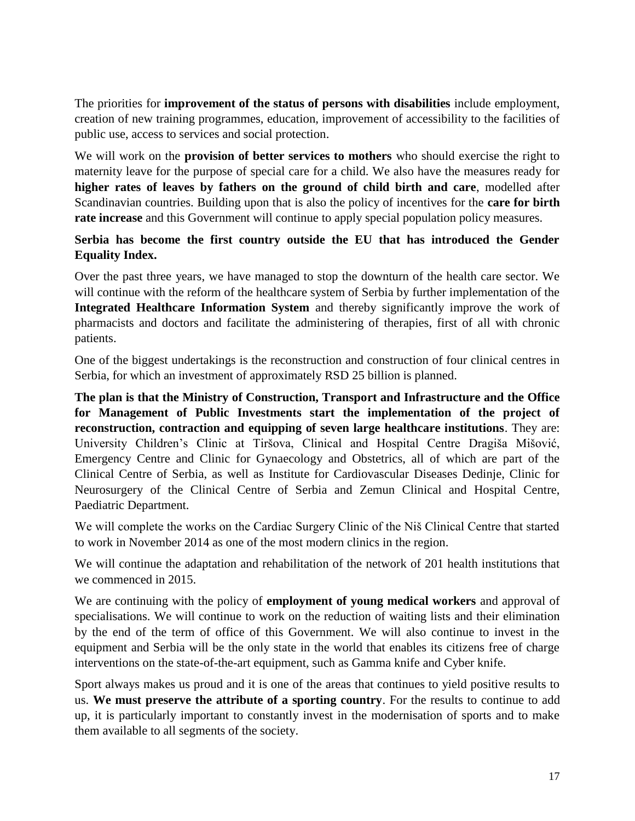The priorities for **improvement of the status of persons with disabilities** include employment, creation of new training programmes, education, improvement of accessibility to the facilities of public use, access to services and social protection.

We will work on the **provision of better services to mothers** who should exercise the right to maternity leave for the purpose of special care for a child. We also have the measures ready for **higher rates of leaves by fathers on the ground of child birth and care**, modelled after Scandinavian countries. Building upon that is also the policy of incentives for the **care for birth rate increase** and this Government will continue to apply special population policy measures.

### **Serbia has become the first country outside the EU that has introduced the Gender Equality Index.**

Over the past three years, we have managed to stop the downturn of the health care sector. We will continue with the reform of the healthcare system of Serbia by further implementation of the **Integrated Healthcare Information System** and thereby significantly improve the work of pharmacists and doctors and facilitate the administering of therapies, first of all with chronic patients.

One of the biggest undertakings is the reconstruction and construction of four clinical centres in Serbia, for which an investment of approximately RSD 25 billion is planned.

**The plan is that the Ministry of Construction, Transport and Infrastructure and the Office for Management of Public Investments start the implementation of the project of reconstruction, contraction and equipping of seven large healthcare institutions**. They are: University Children's Clinic at Tiršova, Clinical and Hospital Centre Dragiša Mišović, Emergency Centre and Clinic for Gynaecology and Obstetrics, all of which are part of the Clinical Centre of Serbia, as well as Institute for Cardiovascular Diseases Dedinje, Clinic for Neurosurgery of the Clinical Centre of Serbia and Zemun Clinical and Hospital Centre, Paediatric Department.

We will complete the works on the Cardiac Surgery Clinic of the Niš Clinical Centre that started to work in November 2014 as one of the most modern clinics in the region.

We will continue the adaptation and rehabilitation of the network of 201 health institutions that we commenced in 2015.

We are continuing with the policy of **employment of young medical workers** and approval of specialisations. We will continue to work on the reduction of waiting lists and their elimination by the end of the term of office of this Government. We will also continue to invest in the equipment and Serbia will be the only state in the world that enables its citizens free of charge interventions on the state-of-the-art equipment, such as Gamma knife and Cyber knife.

Sport always makes us proud and it is one of the areas that continues to yield positive results to us. **We must preserve the attribute of a sporting country**. For the results to continue to add up, it is particularly important to constantly invest in the modernisation of sports and to make them available to all segments of the society.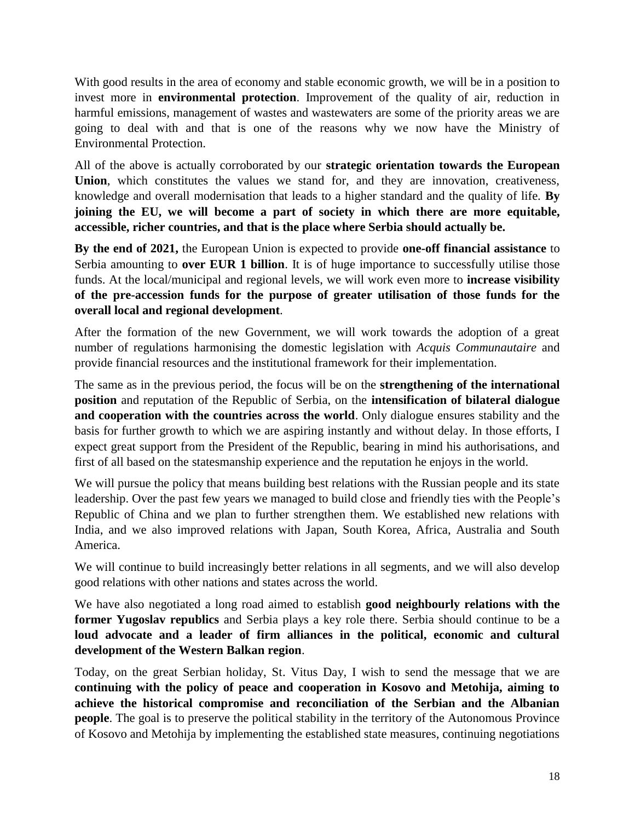With good results in the area of economy and stable economic growth, we will be in a position to invest more in **environmental protection**. Improvement of the quality of air, reduction in harmful emissions, management of wastes and wastewaters are some of the priority areas we are going to deal with and that is one of the reasons why we now have the Ministry of Environmental Protection.

All of the above is actually corroborated by our **strategic orientation towards the European Union**, which constitutes the values we stand for, and they are innovation, creativeness, knowledge and overall modernisation that leads to a higher standard and the quality of life. **By joining the EU, we will become a part of society in which there are more equitable, accessible, richer countries, and that is the place where Serbia should actually be.**

**By the end of 2021,** the European Union is expected to provide **one-off financial assistance** to Serbia amounting to **over EUR 1 billion**. It is of huge importance to successfully utilise those funds. At the local/municipal and regional levels, we will work even more to **increase visibility of the pre-accession funds for the purpose of greater utilisation of those funds for the overall local and regional development**.

After the formation of the new Government, we will work towards the adoption of a great number of regulations harmonising the domestic legislation with *Acquis Communautaire* and provide financial resources and the institutional framework for their implementation.

The same as in the previous period, the focus will be on the **strengthening of the international position** and reputation of the Republic of Serbia, on the **intensification of bilateral dialogue and cooperation with the countries across the world**. Only dialogue ensures stability and the basis for further growth to which we are aspiring instantly and without delay. In those efforts, I expect great support from the President of the Republic, bearing in mind his authorisations, and first of all based on the statesmanship experience and the reputation he enjoys in the world.

We will pursue the policy that means building best relations with the Russian people and its state leadership. Over the past few years we managed to build close and friendly ties with the People's Republic of China and we plan to further strengthen them. We established new relations with India, and we also improved relations with Japan, South Korea, Africa, Australia and South America.

We will continue to build increasingly better relations in all segments, and we will also develop good relations with other nations and states across the world.

We have also negotiated a long road aimed to establish **good neighbourly relations with the former Yugoslav republics** and Serbia plays a key role there. Serbia should continue to be a **loud advocate and a leader of firm alliances in the political, economic and cultural development of the Western Balkan region**.

Today, on the great Serbian holiday, St. Vitus Day, I wish to send the message that we are **continuing with the policy of peace and cooperation in Kosovo and Metohija, aiming to achieve the historical compromise and reconciliation of the Serbian and the Albanian people**. The goal is to preserve the political stability in the territory of the Autonomous Province of Kosovo and Metohija by implementing the established state measures, continuing negotiations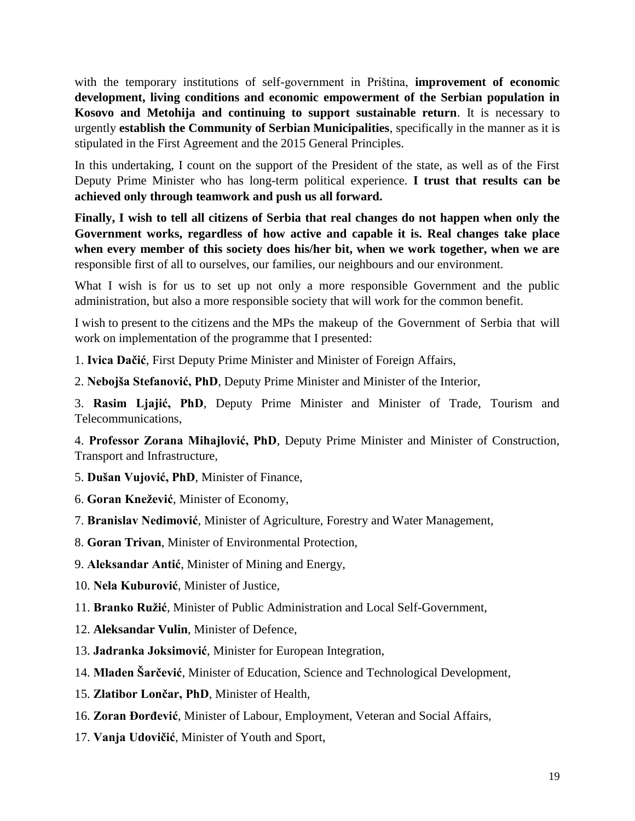with the temporary institutions of self-government in Priština, **improvement of economic development, living conditions and economic empowerment of the Serbian population in Kosovo and Metohija and continuing to support sustainable return**. It is necessary to urgently **establish the Community of Serbian Municipalities**, specifically in the manner as it is stipulated in the First Agreement and the 2015 General Principles.

In this undertaking, I count on the support of the President of the state, as well as of the First Deputy Prime Minister who has long-term political experience. **I trust that results can be achieved only through teamwork and push us all forward.**

**Finally, I wish to tell all citizens of Serbia that real changes do not happen when only the Government works, regardless of how active and capable it is. Real changes take place when every member of this society does his/her bit, when we work together, when we are**  responsible first of all to ourselves, our families, our neighbours and our environment.

What I wish is for us to set up not only a more responsible Government and the public administration, but also a more responsible society that will work for the common benefit.

I wish to present to the citizens and the MPs the makeup of the Government of Serbia that will work on implementation of the programme that I presented:

1. **Ivica Dačić**, First Deputy Prime Minister and Minister of Foreign Affairs,

2. **Nebojša Stefanović, PhD**, Deputy Prime Minister and Minister of the Interior,

3. **Rasim Ljajić, PhD**, Deputy Prime Minister and Minister of Trade, Tourism and Telecommunications,

4. **Professor Zorana Mihajlović, PhD**, Deputy Prime Minister and Minister of Construction, Transport and Infrastructure,

5. **Dušan Vujović, PhD**, Minister of Finance,

6. **Goran Knežević**, Minister of Economy,

7. **Branislav Nedimović**, Minister of Agriculture, Forestry and Water Management,

8. **Goran Trivan**, Minister of Environmental Protection,

9. **Aleksandar Antić**, Minister of Mining and Energy,

10. **Nela Kuburović**, Minister of Justice,

11. **Branko Ružić**, Minister of Public Administration and Local Self-Government,

12. **Aleksandar Vulin**, Minister of Defence,

13. **Jadranka Joksimović**, Minister for European Integration,

14. **Mladen Šarčević**, Minister of Education, Science and Technological Development,

15. **Zlatibor Lončar, PhD**, Minister of Health,

16. **Zoran Đorđević**, Minister of Labour, Employment, Veteran and Social Affairs,

17. **Vanja Udovičić**, Minister of Youth and Sport,